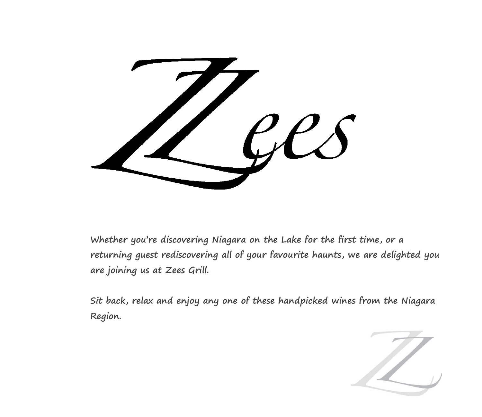

**Whether you're discovering Niagara on the Lake for the first time, or a returning guest rediscovering all of your favourite haunts, we are delighted you are joining us at Zees Grill.** 

**Sit back, relax and enjoy any one of these handpicked wines from the Niagara Region.** 

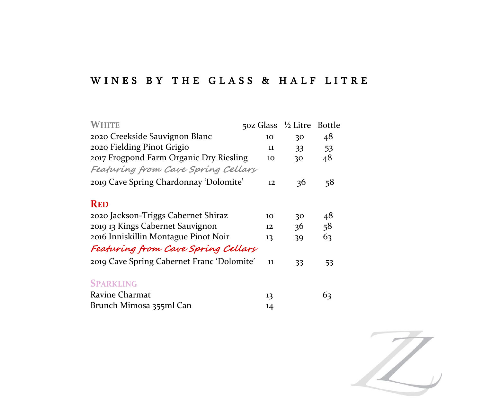### WINES BY THE GLASS & HALF LITRE

| WHITE                                      | 50z Glass $\frac{1}{2}$ Litre |    | <b>Bottle</b> |
|--------------------------------------------|-------------------------------|----|---------------|
| 2020 Creekside Sauvignon Blanc             | 10                            | 30 | 48            |
| 2020 Fielding Pinot Grigio                 | 11                            | 33 | 53            |
| 2017 Frogpond Farm Organic Dry Riesling    | 10                            | 30 | 48            |
| Featuring from Cave Spring Cellars         |                               |    |               |
| 2019 Cave Spring Chardonnay 'Dolomite'     | 12                            | 36 | 58            |
| <b>RED</b>                                 |                               |    |               |
| 2020 Jackson-Triggs Cabernet Shiraz        | 10                            | 30 | 48            |
| 2019 13 Kings Cabernet Sauvignon           | 12                            | 36 | 58            |
| 2016 Inniskillin Montague Pinot Noir       | 13                            | 39 | 63            |
| Featuring from Cave Spring Cellary         |                               |    |               |
| 2019 Cave Spring Cabernet Franc 'Dolomite' | 11                            | 33 | 53            |
| <b>SPARKLING</b>                           |                               |    |               |
| Ravine Charmat                             | 13                            |    | 63            |
| Brunch Mimosa 355ml Can                    | 14                            |    |               |

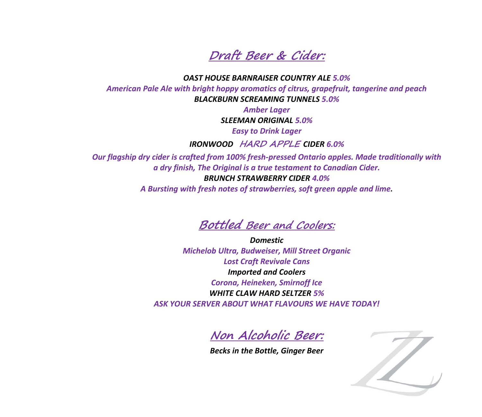**Draft Beer & Cider:**

*OAST HOUSE BARNRAISER COUNTRY ALE 5.0% American Pale Ale with bright hoppy aromatics of citrus, grapefruit, tangerine and peach BLACKBURN SCREAMING TUNNELS 5.0%*

> *Amber Lager SLEEMAN ORIGINAL 5.0%*

*Easy to Drink Lager*

*IRONWOOD* **HARD APPLE** *CIDER 6.0%*

*Our flagship dry cider is crafted from 100% fresh-pressed Ontario apples. Made traditionally with a dry finish, The Original is a true testament to Canadian Cider. BRUNCH STRAWBERRY CIDER 4.0%*

*A Bursting with fresh notes of strawberries, soft green apple and lime.*



*Domestic Michelob Ultra, Budweiser, Mill Street Organic Lost Craft Revivale Cans Imported and Coolers Corona, Heineken, Smirnoff Ice WHITE CLAW HARD SELTZER 5% ASK YOUR SERVER ABOUT WHAT FLAVOURS WE HAVE TODAY!*

**Non Alcoholic Beer:**

*Becks in the Bottle, Ginger Beer*

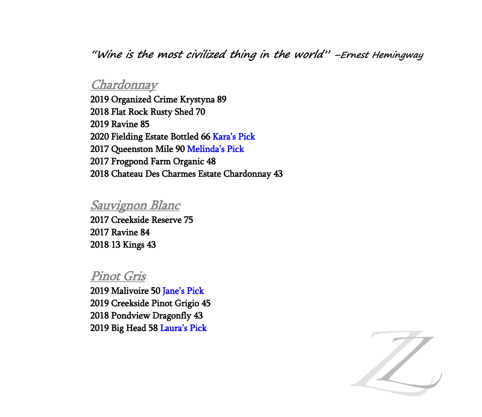**"Wine is the most civilized thing in the world" –Ernest Hemingway**

#### **Chardonnay**

2019 Organized Crime Krystyna 89 2018 Flat Rock Rusty Shed 70 2019 Ravine 85 2020 Fielding Estate Bottled 66 Kara's Pick 2017 Queenston Mile 90 Melinda's Pick 2017 Frogpond Farm Organic 48 2018 Chateau Des Charmes Estate Chardonnay 43

#### Sauvignon Blanc

2017 Creekside Reserve 75 2017 Ravine 84 2018 13 Kings 43

#### Pinot Gris

2019 Malivoire 50 Jane's Pick 2019 Creekside Pinot Grigio 45 2018 Pondview Dragonfly 43 2019 Big Head 58 Laura's Pick

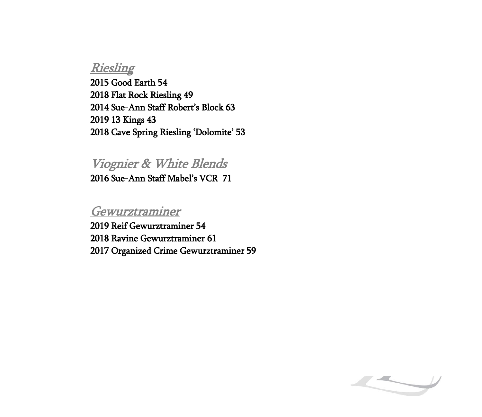## Riesling

2015 Good Earth 54 2018 Flat Rock Riesling 49 2014 Sue-Ann Staff Robert's Block 63 2019 13 Kings 43 2018 Cave Spring Riesling 'Dolomite' 53

## Viognier & White Blends

2016 Sue-Ann Staff Mabel's VCR 71

## Gewurztraminer

2019 Reif Gewurztraminer 54 2018 Ravine Gewurztraminer 61 2017 Organized Crime Gewurztraminer 59

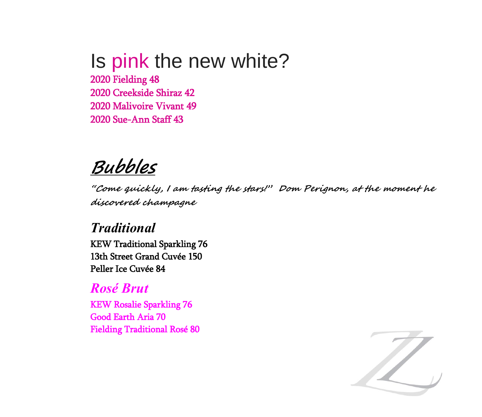# Is pink the new white?

2020 Fielding 48 2020 Creekside Shiraz 42 2020 Malivoire Vivant 49 2020 Sue-Ann Staff 43

## **Bubbles**

**"Come quickly, I am tasting the stars!" Dom Perignon, at the moment he discovered champagne**

## *Traditional*

KEW Traditional Sparkling 76 13th Street Grand Cuvée 150 Peller Ice Cuvée 84

## *Rosé Brut*

KEW Rosalie Sparkling 76 Good Earth Aria 70 Fielding Traditional Rosé 80

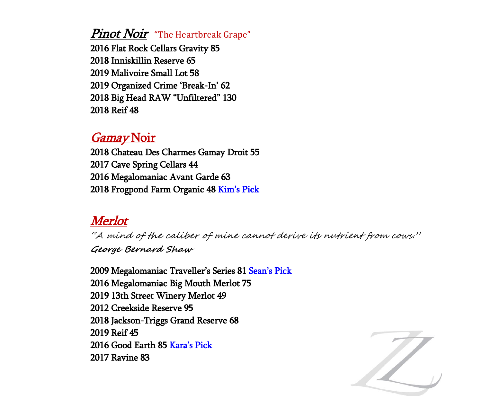#### Pinot Noir"The Heartbreak Grape"

2016 Flat Rock Cellars Gravity 85 2018 Inniskillin Reserve 65 2019 Malivoire Small Lot 58 2019 Organized Crime 'Break-In' 62 2018 Big Head RAW "Unfiltered" 130 2018 Reif 48

### Gamay Noir

2018 Chateau Des Charmes Gamay Droit 55 2017 Cave Spring Cellars 44 2016 Megalomaniac Avant Garde 63 2018 Frogpond Farm Organic 48 Kim's Pick

## Merlot

"A mind of the caliber of mine cannot derive its nutrient from cows." **George Bernard Shaw**

2009 Megalomaniac Traveller's Series 81 Sean's Pick 2016 Megalomaniac Big Mouth Merlot 75 2019 13th Street Winery Merlot 49 2012 Creekside Reserve 95 2018 Jackson-Triggs Grand Reserve 68 2019 Reif 45 2016 Good Earth 85 Kara's Pick 2017 Ravine 83

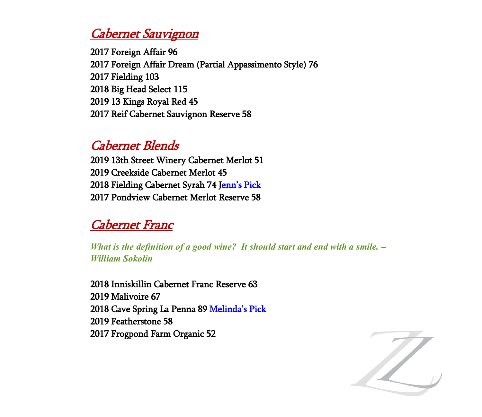## Cabernet Sauvignon

2017 Foreign Affair 96 2017 Foreign Affair Dream (Partial Appassimento Style) 76 2017 Fielding 103 2018 Big Head Select 115 2019 13 Kings Royal Red 45 2017 Reif Cabernet Sauvignon Reserve 58

## Cabernet Blends

2019 13th Street Winery Cabernet Merlot 51 2019 Creekside Cabernet Merlot 45 2018 Fielding Cabernet Syrah 74 Jenn's Pick 2017 Pondview Cabernet Merlot Reserve 58

## Cabernet Franc

*What is the definition of a good wine? It should start and end with a smile. – William Sokolin*

2018 Inniskillin Cabernet Franc Reserve 63 2019 Malivoire 67 2018 Cave Spring La Penna 89 Melinda's Pick 2019 Featherstone 58 2017 Frogpond Farm Organic 52

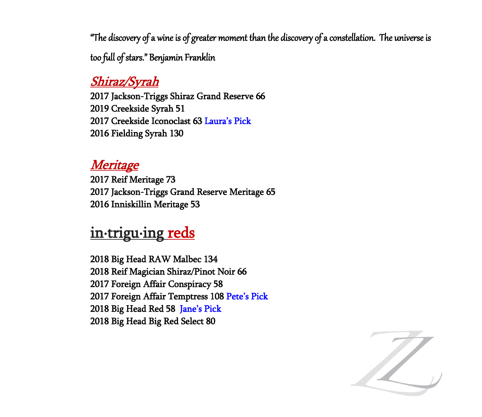"The discovery of a wine is of greater moment than the discovery of a constellation. The universe is too full of stars." Benjamin Franklin

## Shiraz/Syrah

2017 Jackson-Triggs Shiraz Grand Reserve 66 2019 Creekside Syrah 51 2017 Creekside Iconoclast 63 Laura's Pick 2016 Fielding Syrah 130

## Meritage

2017 Reif Meritage 73 2017 Jackson-Triggs Grand Reserve Meritage 65 2016 Inniskillin Meritage 53

## in-trigu-ing reds

2018 Big Head RAW Malbec 134 2018 Reif Magician Shiraz/Pinot Noir 66 2017 Foreign Affair Conspiracy 58 2017 Foreign Affair Temptress 108 Pete's Pick 2018 Big Head Red 58 Jane's Pick 2018 Big Head Big Red Select 80

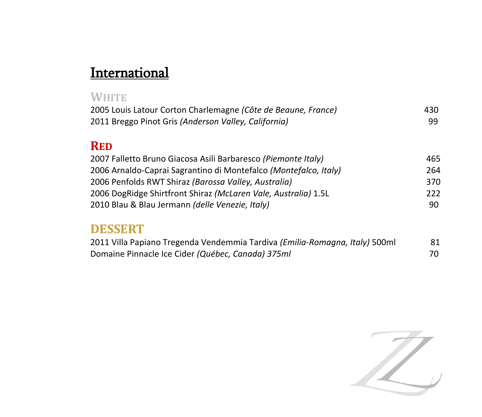## **International**

| <b>WHITE</b>                                                     |     |
|------------------------------------------------------------------|-----|
| 2005 Louis Latour Corton Charlemagne (Côte de Beaune, France)    | 430 |
| 2011 Breggo Pinot Gris (Anderson Valley, California)             | 99  |
| <b>RED</b>                                                       |     |
| 2007 Falletto Bruno Giacosa Asili Barbaresco (Piemonte Italy)    | 465 |
| 2006 Arnaldo-Caprai Sagrantino di Montefalco (Montefalco, Italy) | 264 |
| 2006 Penfolds RWT Shiraz (Barossa Valley, Australia)             | 370 |
| 2006 DogRidge Shirtfront Shiraz (McLaren Vale, Australia) 1.5L   | 222 |
| 2010 Blau & Blau Jermann (delle Venezie, Italy)                  | 90  |
| <b>DESSERT</b>                                                   |     |

| 2011 Villa Papiano Tregenda Vendemmia Tardiva (Emilia-Romagna, Italy) 500ml | 81 |
|-----------------------------------------------------------------------------|----|
| Domaine Pinnacle Ice Cider (Québec, Canada) 375ml                           | 70 |